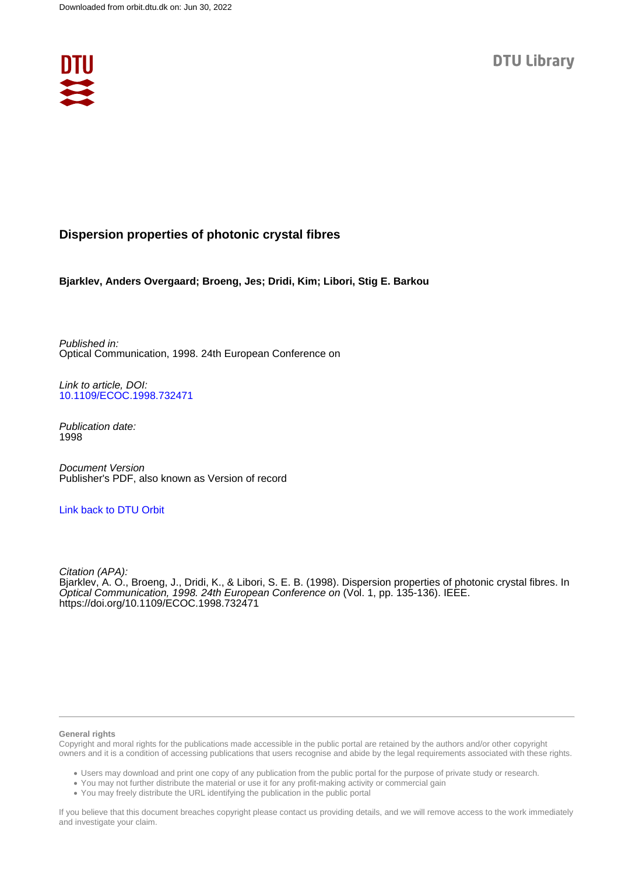

# **Dispersion properties of photonic crystal fibres**

**Bjarklev, Anders Overgaard; Broeng, Jes; Dridi, Kim; Libori, Stig E. Barkou**

Published in: Optical Communication, 1998. 24th European Conference on

Link to article, DOI: [10.1109/ECOC.1998.732471](https://doi.org/10.1109/ECOC.1998.732471)

Publication date: 1998

Document Version Publisher's PDF, also known as Version of record

## [Link back to DTU Orbit](https://orbit.dtu.dk/en/publications/9d0bbbb6-6184-49cf-af9f-93fd371f4cfc)

Citation (APA): Bjarklev, A. O., Broeng, J., Dridi, K., & Libori, S. E. B. (1998). Dispersion properties of photonic crystal fibres. In Optical Communication, 1998. 24th European Conference on (Vol. 1, pp. 135-136). IEEE. <https://doi.org/10.1109/ECOC.1998.732471>

### **General rights**

Copyright and moral rights for the publications made accessible in the public portal are retained by the authors and/or other copyright owners and it is a condition of accessing publications that users recognise and abide by the legal requirements associated with these rights.

Users may download and print one copy of any publication from the public portal for the purpose of private study or research.

- You may not further distribute the material or use it for any profit-making activity or commercial gain
- You may freely distribute the URL identifying the publication in the public portal

If you believe that this document breaches copyright please contact us providing details, and we will remove access to the work immediately and investigate your claim.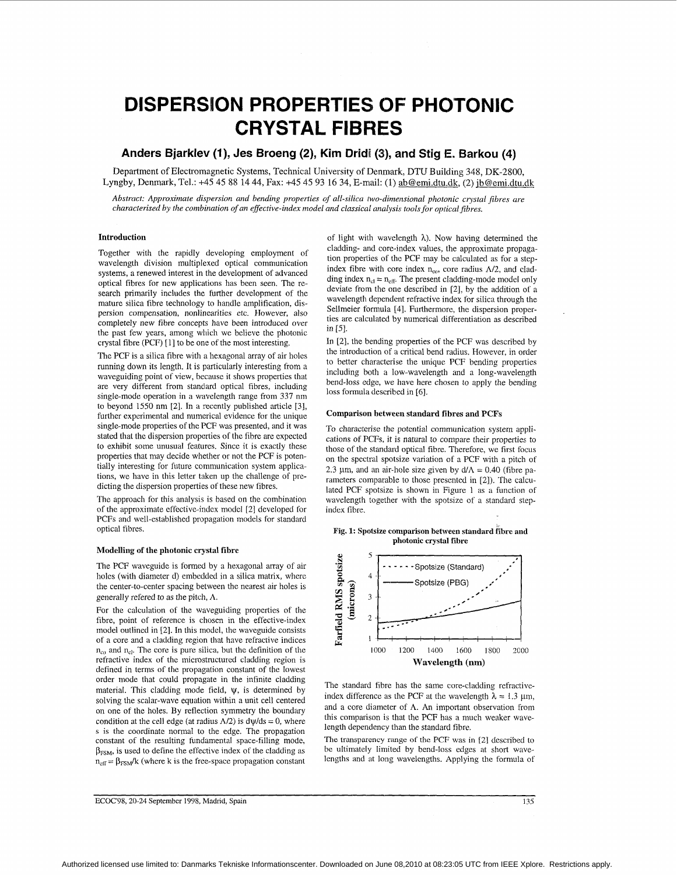# **DISPERSION PROPERTIES OF PHOTONIC CRYSTAL FIBRES**

## Anders Bjarklev (1), Jes Broeng (2), Kim Dridi (3), and Stig E. Barkou (4)

Department of Electromagnetic Systems, Technical University of Denmark., DTU Building 348, DK-2800, Lyngby, Denmark, Tel.: +45 45 88 14 44, **Fax:** +45 45 93 16 34, E-mail: (1) gb@emi.dtu.dk, (2) ib@emi.dtu.dk

*Abstract: Approximate dispersion and bending properties of all-silica two-dimensional photonic crystal fibres are characterised by the combination of an effective-index model and classical analysis tools for opfical fibres.* 

## **Introduction**

Together with the rapidly developing employment of wavelength division multiplexed optical communication systems, a renewed interest in the development of advanced optical fibres for new applications has been seen. The research primarily includes the further development of the mature silica fibre technology to handle amplification, dispersion compensation, nonlinearities etc. However, also completely new fibre concepts have been introduced over the past few years, among which we believe the photonic crystal fibre (PCF) [I] to be one of the most interesting.

The PCF is a silica fibre with a hexagonal array of air holes running down its length. It is particularly interesting from a waveguiding point of view, because it shows properties that are very different from standard optical fibres, including single-mode operation in a wavelength range from 337 nm to beyond 1550 nm <sup>[2]</sup>. In a recently published article <sup>[3]</sup>, further experimental and numerical evidence for the unique single-mode properties of the PCF was presented, and it was stated that the dispersion properties of the fibre are expected to exhibit some unusual features. Since it is exactly these properties that may decide whether or not the PCF is potentially interesting for future communication system applications, we have in this letter taken up the challenge of predicting the dispersion properties of these new fibres.

The approach for this analysis is based on the combination of the approximate effective-index model [2] developed for PCFs and well-established propagation models for standard optical fibres.

#### **Modelling of the photonic crystal fibre**

The PCF waveguide is formed by a hexagonal array of air holes (with diameter d) embedded in a silica matrix, where the center-to-center spacing between the nearest air holes is generally refered to as the pitch, **A.** 

For the calculation of the waveguiding properties of the fibre, point of reference is chosen in the effective-index model outlined in [2]. In this model, the waveguide consists of a core and a cladding region that have refractive indices  $n_{co}$  and  $n_{c}$ . The core is pure silica, but the definition of the refractive index of the microstructured cladding region is defined in terms of the propagation constant of the lowest order mode that could propagate in the infinite cladding material. This cladding mode field,  $\psi$ , is determined by solving the scalar-wave equation within a unit cell centered on one of the holes. By reflection symmetry the boundary condition at the cell edge (at radius  $\Lambda/2$ ) is  $d\psi/ds = 0$ , where *s* **is** the coordinate normal to the edge. The propagation constant of the resulting fundamental space-filling mode,  $\beta_{FSM}$ , is used to define the effective index of the cladding as  $n_{\text{eff}} = \beta_{\text{FSM}}/k$  (where k is the free-space propagation constant

of light with wavelength *h).* Now having determined the cladding- and core-index values, the approximate propagation properties of the PCF may be calculated as for a stepindex fibre with core index  $n_{co}$ , core radius  $\Lambda/2$ , and cladding index  $n_{cl} = n_{eff}$ . The present cladding-mode model only deviate from the one described in [2], by the addition of a wavelength dependent refractive index for silica through the Sellmeier formula [4]. Furthermore, the dispersion properties are calculated by numerical differentiation as described in [5].

In [2], the bending properties of the PCF was described by the introduction of a critical bend radius. However, in order to better characterise the unique PCF bending properties including both a low-wavelength and a long-wavelength bend-loss edge, we have here chosen to apply the bending loss formula described in [6].

#### **Comparison between standard fibres and PCFs**

To characterise the potential communication system applications of PCFs, it is natural to compare their properties to those of the standard optical fibre. Therefore, we first focus on the spectral spotsize variation of a PCF with a pitch of 2.3 µm, and an air-hole size given by  $d/\Lambda = 0.40$  (fibre parameters comparable to those presented in [2]). The calculated PCF spotsize is shown in Figure 1 as a function of wavelength together with the spotsizc of a standard stepindex fibre.

**Fig. 1: Spotsize comparison between standard fibre and photonic crystal fibre** 



The standard fibre has the same core-cladding refractiveindex difference as the PCF at the wavelength  $\lambda = 1.3 \mu m$ , and a core diameter of  $\Lambda$ . An important observation from this comparison is that the PCF has a much weaker wavelength dependency than the standard fibre.

The transparency **range** of the PCF was in [2] described to be ultimately limited by bend-loss edges at short wavelengths and at long wavelengths. Applying the formula of  $\frac{1}{135}$